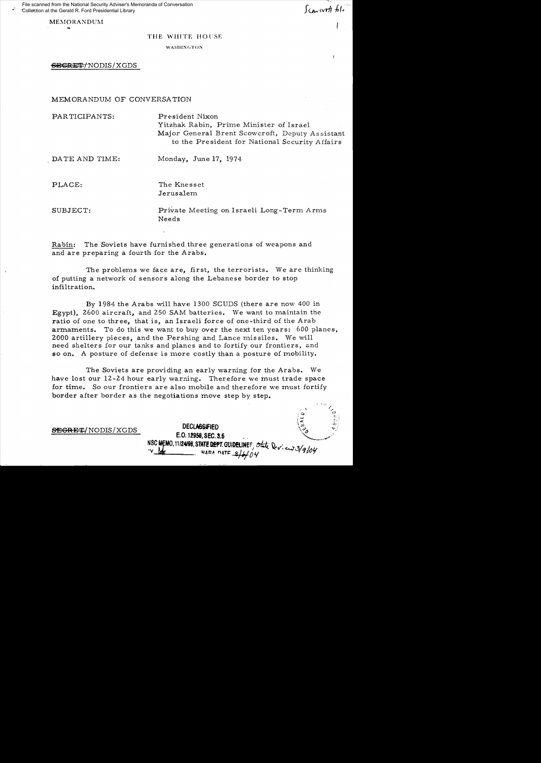File scanned from the National Security Adviser's Memoranda of Conversation Collection at the Gerald R. Ford Presidential Library

**MEMORANDUM** 

 $\bullet$ 

<sup>~</sup>.. ~/

## THE WHITE HOl'SE

WASIIIN(;"('ON

SECRET/NODIS/XGDS

MEMORANDUM OF CONVERSATION

| PARTICIPANTS:  | President Nixon                                                                                   |
|----------------|---------------------------------------------------------------------------------------------------|
|                | Yitzhak Rabin, Prime Minister of Israel                                                           |
|                | Major General Brent Scowcroft, Deputy Assistant<br>to the President for National Security Affairs |
| DATE AND TIME: | Monday, June 17, 1974                                                                             |
| PLACE:         | The Knesset                                                                                       |
|                | Jerusalem                                                                                         |
| SUBJECT:       | Private Meeting on Israeli Long-Term Arms                                                         |
|                | Needs                                                                                             |
|                |                                                                                                   |

Rabin: The Soviets have furnished three generations of weapons and and are preparing a fourth for the Arabs.

The problems we face are, first, the terrorists. We are thinking of putting a network of sensors along the Lebanese border to stop infiltration.

By 1984 the Arabs will have 1300 SCUDS (there are now 400 in Egypt), 2600 aircraft, and 250 SAM batteries. We want to maintain the ratio of one to three, that is, an Israeli force of one-third of the Arab armaments. To do this we want to buy over the next ten years: 600 planes, 2000 artillery pieces, and the Pershing and Lance missiles. We will need shelters for our tanks and planes and to fortify our frontiers, and so on. A posture of defense is more costly than a posture of mobility.

The Soviets are providing an early warning for the Arabs. We have lost our 12-24 hour early warning. Therefore we must trade space for time. So our frontiers are also mobile and therefore we must fortify border after border as the negotiations move step by step.

|                   |                                                                                           | Æ. | 30 I<br>b. l |
|-------------------|-------------------------------------------------------------------------------------------|----|--------------|
| SEGRET/NODIS/XGDS | <b>DECLASSIFIED</b><br>E.O. 12958, SEC. 3.5                                               | ್ಯ | -ಎ.<br>ني په |
|                   | NSC MEMO, 11/24/98, STATE DEPT. GUIDELINES, Ont Dev. en 3/9/04<br>lub<br>NARA DATE S/6/04 |    |              |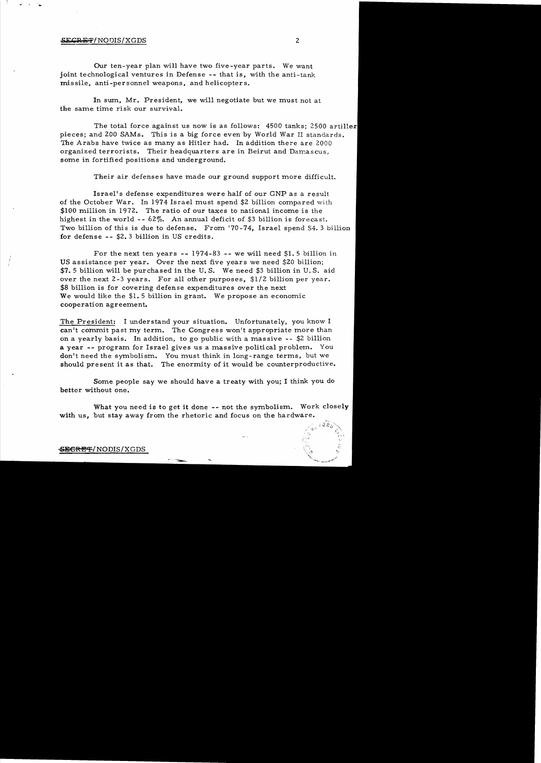## $SEGRE/FNODIS/XGDS$  2

..

Our ten-year plan will have two five-year parts. We want joint technological ventures in Defense -- that is, with the anti-tank missile, anti-personnel weapons, and helicopters.

In sum, Mr. President, we will negotiate but we must not at the same time risk our survival.

The total force against us now is as follows: 4500 tanks: 2500 artiller pieces; and 200 SAMs. This is a big force even by World War II standards. The Arabs have twice as many as Hitler had. In addition there are 2000 organized terrorists. Their headquarters are in Beirut and Damascus, some in fortified positions and underground.

Their air defenses have made our ground support more difficult.

Israel's defense expenditures were half of our GNP as a result of the October War. In 1974 Israel must spend \$2 billion compared with \$100 million in 1972. The ratio of our taxes to national income is the highest in the world  $-- 62\%$ . An annual deficit of \$3 billion is forecast. Two billion of this is due to defense. From '70-74, Israel spend \$4.3 billion for defense -- \$2.3 billion in US credits.

For the next ten years -- 1974-83 -- we will need \$1. 5 billion in US assistance per year. Over the next five years we need \$20 billion; \$7.5 billion will be purchased in the U. S. We need \$3 billion in U. S. aid over the next 2-3 years. For all other purposes, \$1/2 billion per year. \$8 billion is for covering defense expenditures over the next We would like the \$1.5 billion in grant. We propose an economic cooperation agreement.

The President: I understand your situation. Unfortunately, you know I can't commit past my term. The Congress won't appropriate more than on a yearly basis. In addition. to go public with a massive - - \$2 billion a year -- program for Israel gives us a massive political problem. You don't need the symbolism. You must think in long-range terms, but we should present it as that. The enormity of it would be counterproductive.

Some people say we should have a treaty with you; I think you do better without one.

What you need is to get it done -- not the symbolism. Work closely with us, but stay away from the rhetoric and focus on the hardware.

## *<=SJ&eRE1£./NODIS/XGDS*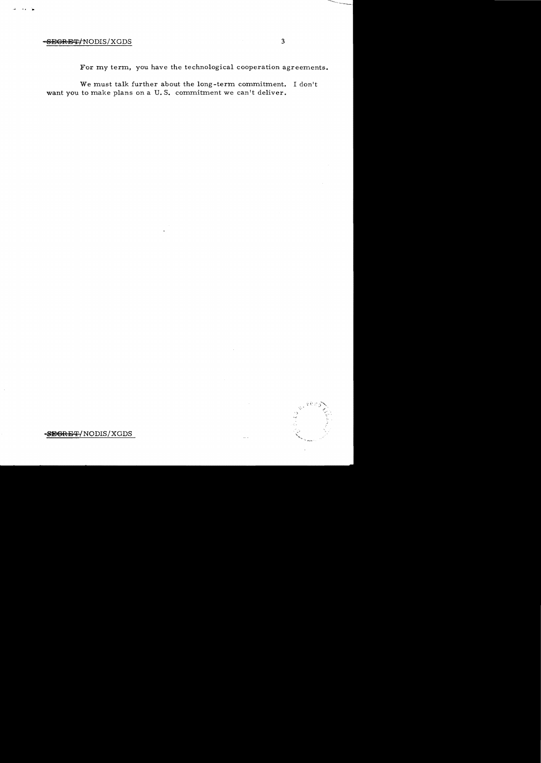## <del>SEGRET/</del>NODIS/XGDS 3

 $\ddot{\phantom{a}}$ 

For my term, you have the technological cooperation agreements.

We must talk further about the long-term commitment. I don't want you to make plans on a U.S. commitment we can't deliver.

**<SEGRE** ~/ NODIS/XGDS



 $\cdots$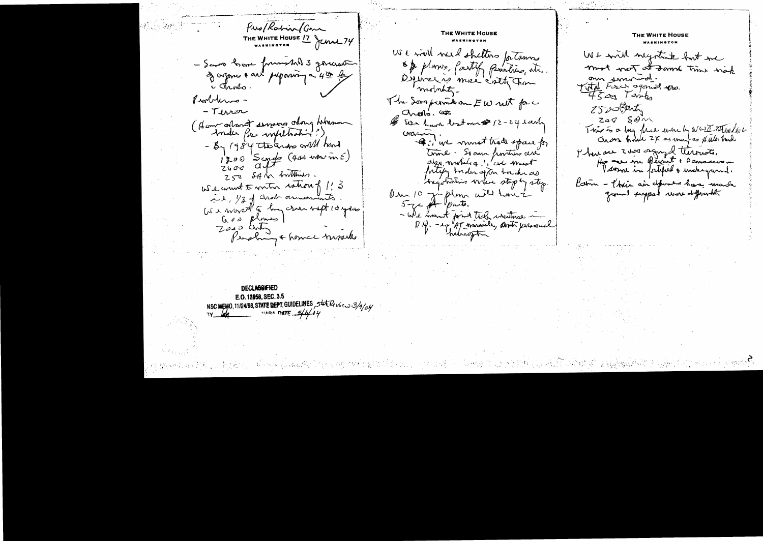Pro/Rabin/Com THE WHITE HOUSE 17 JUNE 74 - Savo have funnshil 3 governo I appres & and perposition a 4th for c Junto. Problems --Tiver (Hem afternet serving along himmon Ander Por withhat ?), - By 1984 the ards will hard  $\frac{1200}{5}$  Scores (400 mou m E) 250 SAM buttimes. We want 5 miter ration of 1:3 is, 1/3 of anot armoments. US a worst to him cran next 10 years God plans  $Z$ ogo duty Pershing & home wish

**DECLASSIFIED** E.O. 12958, SEC. 3.5 NSC MEMO, 11/24/98, STATE DEPT. GUIDELINES, State Review 3/9/04

THE WHITE HOUSE We will were shelters for trung & & plans, partif provides, etc. Definal is more cretition mobility. The Soon permit on EW ret force choks. Cos \$ Ever have lost me \$ 12-24 early crain in most trade space for time. Si au pontiers avec algo mobilica ", cic must fortify buder after touch as longotioning where stop by step. Om 10 juilent ails have - We want font tick writings ~ D.f. - 17 AT wassile, anti- personal

THE WHITE HOUSE We will negotiate but in must west at somme time wish om smarwel.<br>Tital Force against you  $4500$  Timber ZS schatz  $200$   $S\theta$ This is a bug force when by a GETTAMPhile Cross house 2X as may as fitter had There are zone engaged territor. Her are in Beimt " Dannaceur . Katim - Their air defenses have made ground support women differently.